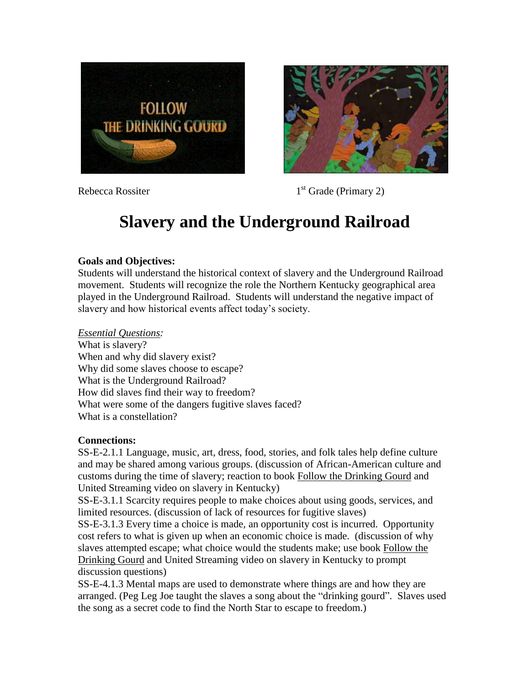

Rebecca Rossiter

 $1<sup>st</sup>$  Grade (Primary 2)

# **Slavery and the Underground Railroad**

# **Goals and Objectives:**

Students will understand the historical context of slavery and the Underground Railroad movement. Students will recognize the role the Northern Kentucky geographical area played in the Underground Railroad. Students will understand the negative impact of slavery and how historical events affect today's society.

### *Essential Questions:*

What is slavery? When and why did slavery exist? Why did some slaves choose to escape? What is the Underground Railroad? How did slaves find their way to freedom? What were some of the dangers fugitive slaves faced? What is a constellation?

# **Connections:**

SS-E-2.1.1 Language, music, art, dress, food, stories, and folk tales help define culture and may be shared among various groups. (discussion of African-American culture and customs during the time of slavery; reaction to book Follow the Drinking Gourd and United Streaming video on slavery in Kentucky)

SS-E-3.1.1 Scarcity requires people to make choices about using goods, services, and limited resources. (discussion of lack of resources for fugitive slaves)

SS-E-3.1.3 Every time a choice is made, an opportunity cost is incurred. Opportunity cost refers to what is given up when an economic choice is made. (discussion of why slaves attempted escape; what choice would the students make; use book Follow the Drinking Gourd and United Streaming video on slavery in Kentucky to prompt discussion questions)

SS-E-4.1.3 Mental maps are used to demonstrate where things are and how they are arranged. (Peg Leg Joe taught the slaves a song about the "drinking gourd". Slaves used the song as a secret code to find the North Star to escape to freedom.)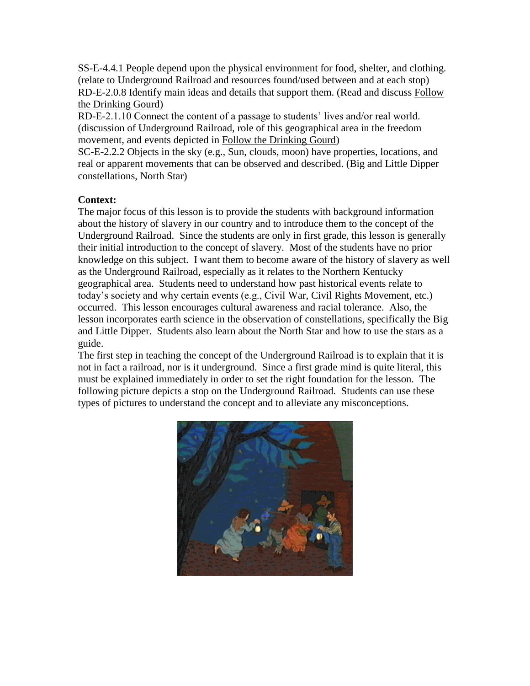SS-E-4.4.1 People depend upon the physical environment for food, shelter, and clothing. (relate to Underground Railroad and resources found/used between and at each stop) RD-E-2.0.8 Identify main ideas and details that support them. (Read and discuss Follow the Drinking Gourd)

RD-E-2.1.10 Connect the content of a passage to students' lives and/or real world. (discussion of Underground Railroad, role of this geographical area in the freedom movement, and events depicted in Follow the Drinking Gourd)

SC-E-2.2.2 Objects in the sky (e.g., Sun, clouds, moon) have properties, locations, and real or apparent movements that can be observed and described. (Big and Little Dipper constellations, North Star)

# **Context:**

The major focus of this lesson is to provide the students with background information about the history of slavery in our country and to introduce them to the concept of the Underground Railroad. Since the students are only in first grade, this lesson is generally their initial introduction to the concept of slavery. Most of the students have no prior knowledge on this subject. I want them to become aware of the history of slavery as well as the Underground Railroad, especially as it relates to the Northern Kentucky geographical area. Students need to understand how past historical events relate to today's society and why certain events (e.g., Civil War, Civil Rights Movement, etc.) occurred. This lesson encourages cultural awareness and racial tolerance. Also, the lesson incorporates earth science in the observation of constellations, specifically the Big and Little Dipper. Students also learn about the North Star and how to use the stars as a guide.

The first step in teaching the concept of the Underground Railroad is to explain that it is not in fact a railroad, nor is it underground. Since a first grade mind is quite literal, this must be explained immediately in order to set the right foundation for the lesson. The following picture depicts a stop on the Underground Railroad. Students can use these types of pictures to understand the concept and to alleviate any misconceptions.

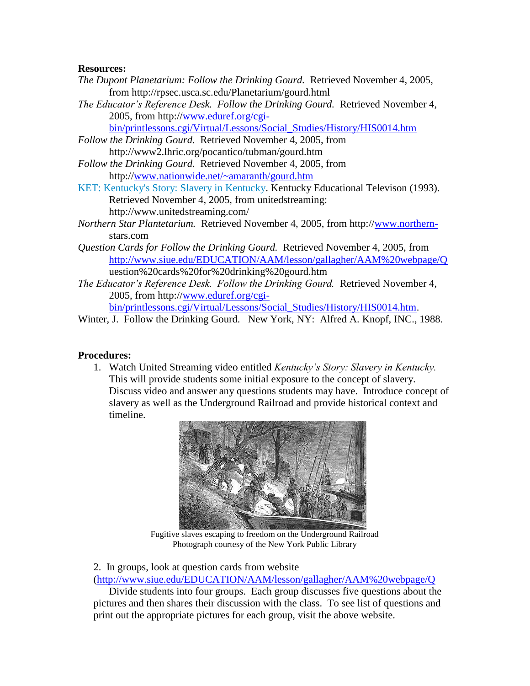#### **Resources:**

- *The Dupont Planetarium: Follow the Drinking Gourd.* Retrieved November 4, 2005, from http://rpsec.usca.sc.edu/Planetarium/gourd.html
- *The Educator's Reference Desk. Follow the Drinking Gourd.* Retrieved November 4, 2005, from http:/[/www.eduref.org/cgi-](http://www.eduref.org/cgi-bin/printlessons.cgi/Virtual/Lessons/Social_Studies/History/HIS0014.htm)

[bin/printlessons.cgi/Virtual/Lessons/Social\\_Studies/History/HIS0014.htm](http://www.eduref.org/cgi-bin/printlessons.cgi/Virtual/Lessons/Social_Studies/History/HIS0014.htm)

- *Follow the Drinking Gourd.* Retrieved November 4, 2005, from http://www2.lhric.org/pocantico/tubman/gourd.htm
- *Follow the Drinking Gourd.* Retrieved November 4, 2005, from http:/[/www.nationwide.net/~amaranth/gourd.htm](http://www.nationwide.net/~amaranth/gourd.htm)
- KET: Kentucky's Story: Slavery in Kentucky. Kentucky Educational Televison (1993). Retrieved November 4, 2005, from unitedstreaming: http://www.unitedstreaming.com/
- *Northern Star Plantetarium.* Retrieved November 4, 2005, from http:/[/www.northern](http://www.northern-/)stars.com
- *Question Cards for Follow the Drinking Gourd.* Retrieved November 4, 2005, from <http://www.siue.edu/EDUCATION/AAM/lesson/gallagher/AAM%20webpage/Q> uestion%20cards%20for%20drinking%20gourd.htm
- *The Educator's Reference Desk. Follow the Drinking Gourd.* Retrieved November 4, 2005, from http:/[/www.eduref.org/cgi-](http://www.eduref.org/cgi-bin/printlessons.cgi/Virtual/Lessons/Social_Studies/History/HIS0014.htm)

[bin/printlessons.cgi/Virtual/Lessons/Social\\_Studies/History/HIS0014.htm.](http://www.eduref.org/cgi-bin/printlessons.cgi/Virtual/Lessons/Social_Studies/History/HIS0014.htm)

Winter, J. Follow the Drinking Gourd. New York, NY: Alfred A. Knopf, INC., 1988.

#### **Procedures:**

1. Watch United Streaming video entitled *Kentucky's Story: Slavery in Kentucky.*  This will provide students some initial exposure to the concept of slavery. Discuss video and answer any questions students may have. Introduce concept of slavery as well as the Underground Railroad and provide historical context and timeline.



Fugitive slaves escaping to freedom on the Underground Railroad Photograph courtesy of the New York Public Library

#### 2. In groups, look at question cards from website

[\(http://www.siue.edu/EDUCATION/AAM/lesson/gallagher/AAM%20webpage/Q](http://www.siue.edu/EDUCATION/AAM/lesson/gallagher/AAM%20webpage/Q)

Divide students into four groups. Each group discusses five questions about the pictures and then shares their discussion with the class. To see list of questions and print out the appropriate pictures for each group, visit the above website.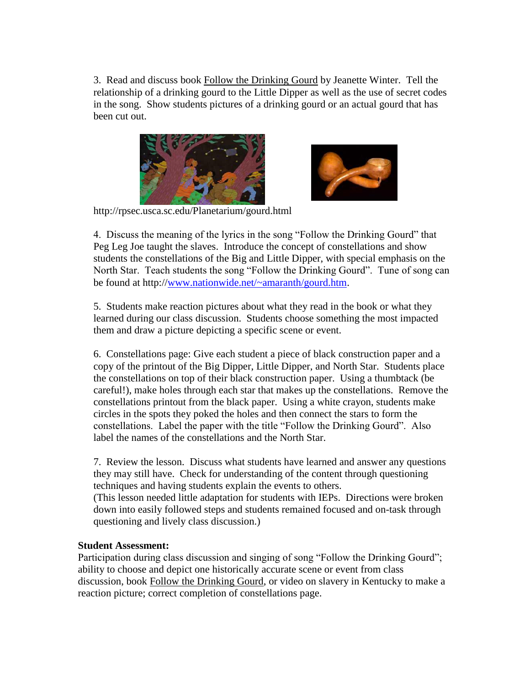3. Read and discuss book Follow the Drinking Gourd by Jeanette Winter. Tell the relationship of a drinking gourd to the Little Dipper as well as the use of secret codes in the song. Show students pictures of a drinking gourd or an actual gourd that has been cut out.





http://rpsec.usca.sc.edu/Planetarium/gourd.html

4. Discuss the meaning of the lyrics in the song "Follow the Drinking Gourd" that Peg Leg Joe taught the slaves. Introduce the concept of constellations and show students the constellations of the Big and Little Dipper, with special emphasis on the North Star. Teach students the song "Follow the Drinking Gourd". Tune of song can be found at http:/[/www.nationwide.net/~amaranth/gourd.htm.](http://www.nationwide.net/~amaranth/gourd.htm)

5. Students make reaction pictures about what they read in the book or what they learned during our class discussion. Students choose something the most impacted them and draw a picture depicting a specific scene or event.

6. Constellations page: Give each student a piece of black construction paper and a copy of the printout of the Big Dipper, Little Dipper, and North Star. Students place the constellations on top of their black construction paper. Using a thumbtack (be careful!), make holes through each star that makes up the constellations. Remove the constellations printout from the black paper. Using a white crayon, students make circles in the spots they poked the holes and then connect the stars to form the constellations. Label the paper with the title "Follow the Drinking Gourd". Also label the names of the constellations and the North Star.

7. Review the lesson. Discuss what students have learned and answer any questions they may still have. Check for understanding of the content through questioning techniques and having students explain the events to others. (This lesson needed little adaptation for students with IEPs. Directions were broken down into easily followed steps and students remained focused and on-task through questioning and lively class discussion.)

# **Student Assessment:**

Participation during class discussion and singing of song "Follow the Drinking Gourd"; ability to choose and depict one historically accurate scene or event from class discussion, book Follow the Drinking Gourd, or video on slavery in Kentucky to make a reaction picture; correct completion of constellations page.